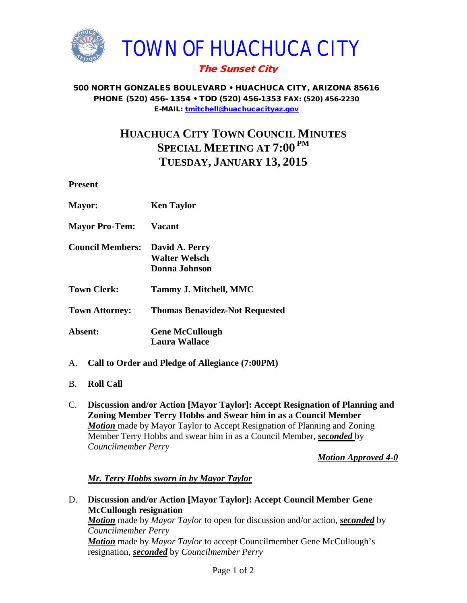

## The Sunset City

#### 500 NORTH GONZALES BOULEVARD • HUACHUCA CITY, ARIZONA 85616 PHONE (520) 456- 1354 • TDD (520) 456-1353 FAX: (520) 456-2230 E-MAIL: [tmitchell@huachucacityaz.gov](mailto:tmitchell@huachucacityaz.gov)

# **HUACHUCA CITY TOWN COUNCIL MINUTES SPECIAL MEETING AT 7:00 PM TUESDAY, JANUARY 13, 2015**

**Present**

| <b>Mayor:</b>           | <b>Ken Taylor</b>                                       |
|-------------------------|---------------------------------------------------------|
| <b>Mayor Pro-Tem:</b>   | <b>Vacant</b>                                           |
| <b>Council Members:</b> | David A. Perry<br><b>Walter Welsch</b><br>Donna Johnson |
| <b>Town Clerk:</b>      | Tammy J. Mitchell, MMC                                  |
| <b>Town Attorney:</b>   | <b>Thomas Benavidez-Not Requested</b>                   |
| Absent:                 | <b>Gene McCullough</b><br><b>Laura Wallace</b>          |

- A. **Call to Order and Pledge of Allegiance (7:00PM)**
- B. **Roll Call**
- C. **Discussion and/or Action [Mayor Taylor]: Accept Resignation of Planning and Zoning Member Terry Hobbs and Swear him in as a Council Member Motion** made by Mayor Taylor to Accept Resignation of Planning and Zoning Member Terry Hobbs and swear him in as a Council Member, *seconded* by *Councilmember Perry*

*Motion Approved 4-0*

## *Mr. Terry Hobbs sworn in by Mayor Taylor*

D. **Discussion and/or Action [Mayor Taylor]: Accept Council Member Gene McCullough resignation** *Motion* made by *Mayor Taylor* to open for discussion and/or action, *seconded* by *Councilmember Perry* **Motion** made by *Mayor Taylor* to accept Councilmember Gene McCullough's resignation, *seconded* by *Councilmember Perry*